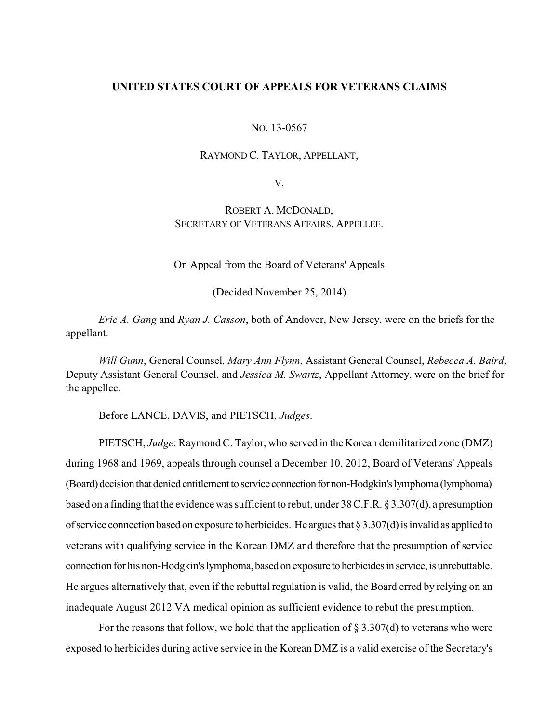## **UNITED STATES COURT OF APPEALS FOR VETERANS CLAIMS**

#### NO. 13-0567

#### RAYMOND C. TAYLOR, APPELLANT,

V.

# ROBERT A. MCDONALD, SECRETARY OF VETERANS AFFAIRS, APPELLEE.

On Appeal from the Board of Veterans' Appeals

(Decided November 25, 2014)

*Eric A. Gang* and *Ryan J. Casson*, both of Andover, New Jersey, were on the briefs for the appellant.

*Will Gunn*, General Counsel*, Mary Ann Flynn*, Assistant General Counsel, *Rebecca A. Baird*, Deputy Assistant General Counsel, and *Jessica M. Swartz*, Appellant Attorney, were on the brief for the appellee.

Before LANCE, DAVIS, and PIETSCH, *Judges*.

PIETSCH, *Judge*: Raymond C. Taylor, who served in the Korean demilitarized zone (DMZ) during 1968 and 1969, appeals through counsel a December 10, 2012, Board of Veterans' Appeals (Board) decision that denied entitlement to service connection for non-Hodgkin's lymphoma (lymphoma) based on a finding that the evidence was sufficient to rebut, under 38 C.F.R. § 3.307(d), a presumption of service connection based on exposure to herbicides. He argues that  $\S 3.307(d)$  is invalid as applied to veterans with qualifying service in the Korean DMZ and therefore that the presumption of service connection for his non-Hodgkin's lymphoma, based on exposure to herbicides in service, is unrebuttable. He argues alternatively that, even if the rebuttal regulation is valid, the Board erred by relying on an inadequate August 2012 VA medical opinion as sufficient evidence to rebut the presumption.

For the reasons that follow, we hold that the application of  $\S 3.307(d)$  to veterans who were exposed to herbicides during active service in the Korean DMZ is a valid exercise of the Secretary's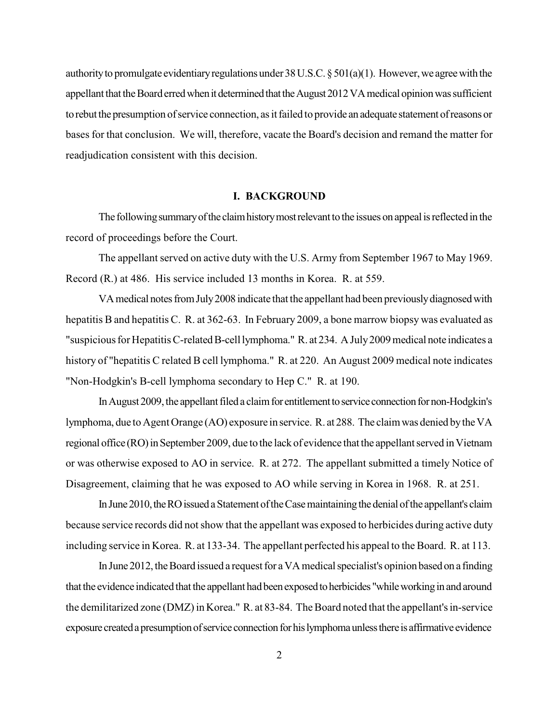authority to promulgate evidentiary regulations under  $38$  U.S.C. §  $501(a)(1)$ . However, we agree with the appellant that the Board erred when it determined that the August 2012 VA medical opinion was sufficient to rebut the presumption of service connection, as it failed to provide an adequate statement of reasons or bases for that conclusion. We will, therefore, vacate the Board's decision and remand the matter for readjudication consistent with this decision.

#### **I. BACKGROUND**

The following summary of the claim history most relevant to the issues on appeal is reflected in the record of proceedings before the Court.

The appellant served on active duty with the U.S. Army from September 1967 to May 1969. Record (R.) at 486. His service included 13 months in Korea. R. at 559.

VA medical notes from July 2008 indicate that the appellant had been previously diagnosed with hepatitis B and hepatitis C. R. at 362-63. In February 2009, a bone marrow biopsy was evaluated as "suspicious for Hepatitis C-related B-cell lymphoma." R. at 234. A July 2009 medical note indicates a history of "hepatitis C related B cell lymphoma." R. at 220. An August 2009 medical note indicates "Non-Hodgkin's B-cell lymphoma secondary to Hep C." R. at 190.

In August 2009, the appellant filed a claim for entitlement to service connection for non-Hodgkin's lymphoma, due to Agent Orange (AO) exposure in service. R. at 288. The claimwas denied bytheVA regional office (RO) in September 2009, due to the lack of evidence that the appellant served in Vietnam or was otherwise exposed to AO in service. R. at 272. The appellant submitted a timely Notice of Disagreement, claiming that he was exposed to AO while serving in Korea in 1968. R. at 251.

In June 2010, the RO issued a Statement of the Case maintaining the denial of the appellant's claim because service records did not show that the appellant was exposed to herbicides during active duty including service in Korea. R. at 133-34. The appellant perfected his appeal to the Board. R. at 113.

In June 2012, the Board issued a request for a VA medical specialist's opinion based on a finding that the evidence indicated that the appellant had been exposed to herbicides "while working in and around the demilitarized zone (DMZ) in Korea." R. at 83-84. The Board noted that the appellant's in-service exposure created a presumption of service connection for his lymphoma unless there is affirmative evidence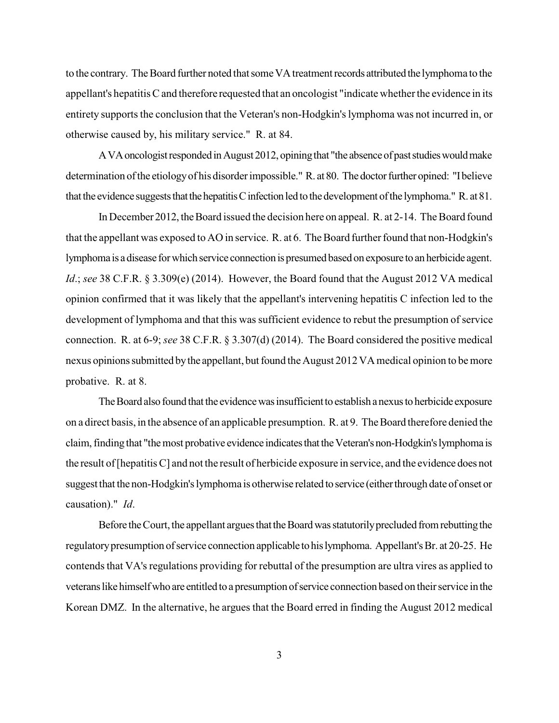to the contrary. The Board further noted that some VA treatment records attributed the lymphoma to the appellant's hepatitis C and therefore requested that an oncologist "indicate whether the evidence in its entirety supports the conclusion that the Veteran's non-Hodgkin's lymphoma was not incurred in, or otherwise caused by, his military service." R. at 84.

A VA oncologist responded in August 2012, opining that "the absence of past studies would make determination of the etiology of his disorder impossible." R. at 80. The doctor further opined: "I believe that the evidence suggests that the hepatitis C infection led to the development of the lymphoma." R. at 81.

In December 2012, the Board issued the decision here on appeal. R. at 2-14. The Board found that the appellant was exposed to AO in service. R. at 6. The Board further found that non-Hodgkin's lymphoma is a disease for which service connection is presumed based on exposure to an herbicide agent. *Id*.; *see* 38 C.F.R. § 3.309(e) (2014). However, the Board found that the August 2012 VA medical opinion confirmed that it was likely that the appellant's intervening hepatitis C infection led to the development of lymphoma and that this was sufficient evidence to rebut the presumption of service connection. R. at 6-9; *see* 38 C.F.R. § 3.307(d) (2014). The Board considered the positive medical nexus opinions submitted by the appellant, but found the August 2012 VA medical opinion to be more probative. R. at 8.

The Board also found that the evidence was insufficient to establish a nexus to herbicide exposure on a direct basis, in the absence of an applicable presumption. R. at 9. TheBoard therefore denied the claim,finding that "themost probative evidence indicatesthattheVeteran's non-Hodgkin'slymphoma is the result of [hepatitis C] and not the result of herbicide exposure in service, and the evidence does not suggest that the non-Hodgkin's lymphoma is otherwise related to service (either through date of onset or causation)." *Id*.

Before the Court, the appellant argues that the Board was statutorily precluded from rebutting the regulatory presumption of service connection applicable to his lymphoma. Appellant's Br. at 20-25. He contends that VA's regulations providing for rebuttal of the presumption are ultra vires as applied to veterans like himself who are entitled to a presumption of service connection based on their service in the Korean DMZ. In the alternative, he argues that the Board erred in finding the August 2012 medical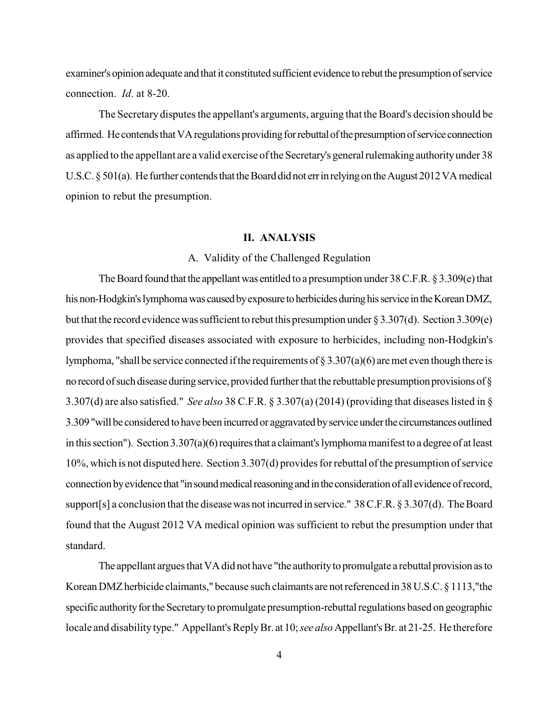examiner's opinion adequate and that it constituted sufficient evidence to rebut the presumption of service connection. *Id*. at 8-20.

The Secretary disputes the appellant's arguments, arguing that the Board's decision should be affirmed. He contends that VA regulations providing for rebuttal of the presumption of service connection as applied to the appellant are a valid exercise of the Secretary's general rulemaking authorityunder 38 U.S.C.  $\S 501(a)$ . He further contends that the Board did not err in relying on the August 2012 VA medical opinion to rebut the presumption.

### **II. ANALYSIS**

### A. Validity of the Challenged Regulation

The Board found that the appellant was entitled to a presumption under  $38$  C.F.R.  $\S 3.309(e)$  that his non-Hodgkin's lymphoma was caused by exposure to herbicides during his service in the Korean DMZ, but that the record evidence was sufficient to rebut this presumption under § 3.307(d). Section 3.309(e) provides that specified diseases associated with exposure to herbicides, including non-Hodgkin's lymphoma, "shall be service connected if the requirements of  $\S 3.307(a)(6)$  are met even though there is no record of such disease during service, provided further that the rebuttable presumption provisions of  $\S$ 3.307(d) are also satisfied." *See also* 38 C.F.R. § 3.307(a) (2014) (providing that diseases listed in § 3.309 "will be considered to have been incurred or aggravated byserviceunderthe circumstancesoutlined in this section"). Section 3.307(a)(6) requires that a claimant's lymphoma manifest to a degree of at least 10%, which is not disputed here. Section 3.307(d) provides for rebuttal of the presumption of service connection by evidence that "in sound medical reasoning and in the consideration of all evidence of record, support[s] a conclusion that the disease was not incurred in service." 38 C.F.R. § 3.307(d). The Board found that the August 2012 VA medical opinion was sufficient to rebut the presumption under that standard.

The appellant argues that VA did not have "the authority to promulgate a rebuttal provision as to Korean DMZ herbicide claimants," because such claimants are not referenced in 38 U.S.C. § 1113,"the specific authority for the Secretary to promulgate presumption-rebuttal regulations based on geographic locale and disability type." Appellant's Reply Br. at 10; *see also* Appellant's Br. at 21-25. He therefore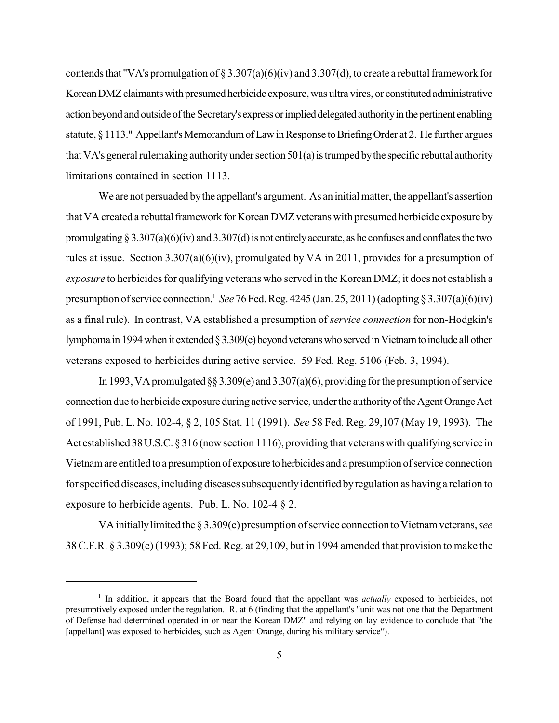contends that "VA's promulgation of § 3.307(a)(6)(iv) and 3.307(d), to create a rebuttal framework for Korean DMZ claimants with presumed herbicide exposure, was ultra vires, or constituted administrative action beyond and outside of the Secretary's express or implied delegated authority in the pertinent enabling statute, § 1113." Appellant's Memorandum of Law in Response to Briefing Order at 2. He further argues that VA's general rulemaking authority under section  $501(a)$  is trumped by the specific rebuttal authority limitations contained in section 1113.

We are not persuaded bythe appellant's argument. As an initial matter, the appellant's assertion that VA created a rebuttal framework for Korean DMZ veterans with presumed herbicide exposure by promulgating § 3.307(a)(6)(iv) and 3.307(d) is not entirely accurate, as he confuses and conflates the two rules at issue. Section  $3.307(a)(6)(iv)$ , promulgated by VA in 2011, provides for a presumption of *exposure* to herbicides for qualifying veterans who served in the Korean DMZ; it does not establish a presumption of service connection.<sup>1</sup> See 76 Fed. Reg. 4245 (Jan. 25, 2011) (adopting § 3.307(a)(6)(iv) as a final rule). In contrast, VA established a presumption of *service connection* for non-Hodgkin's lymphoma in 1994 when it extended § 3.309(e) beyond veterans who served in Vietnam to include all other veterans exposed to herbicides during active service. 59 Fed. Reg. 5106 (Feb. 3, 1994).

In 1993, VA promulgated §§ 3.309(e) and 3.307(a)(6), providing for the presumption of service connection due to herbicide exposure during active service, under the authority of the Agent Orange Act of 1991, Pub. L. No. 102-4, § 2, 105 Stat. 11 (1991). *See* 58 Fed. Reg. 29,107 (May 19, 1993). The Act established 38U.S.C. § 316 (nowsection 1116), providing that veterans with qualifying service in Vietnam are entitled to a presumption of exposure to herbicides and a presumption of service connection for specified diseases, including diseases subsequentlyidentified byregulation as having a relation to exposure to herbicide agents. Pub. L. No. 102-4 § 2.

VAinitiallylimited the § 3.309(e) presumption of service connection toVietnam veterans,*see* 38 C.F.R. § 3.309(e)(1993); 58 Fed. Reg. at 29,109, but in 1994 amended that provision to make the

<sup>&</sup>lt;sup>1</sup> In addition, it appears that the Board found that the appellant was *actually* exposed to herbicides, not presumptively exposed under the regulation. R. at 6 (finding that the appellant's "unit was not one that the Department of Defense had determined operated in or near the Korean DMZ" and relying on lay evidence to conclude that "the [appellant] was exposed to herbicides, such as Agent Orange, during his military service").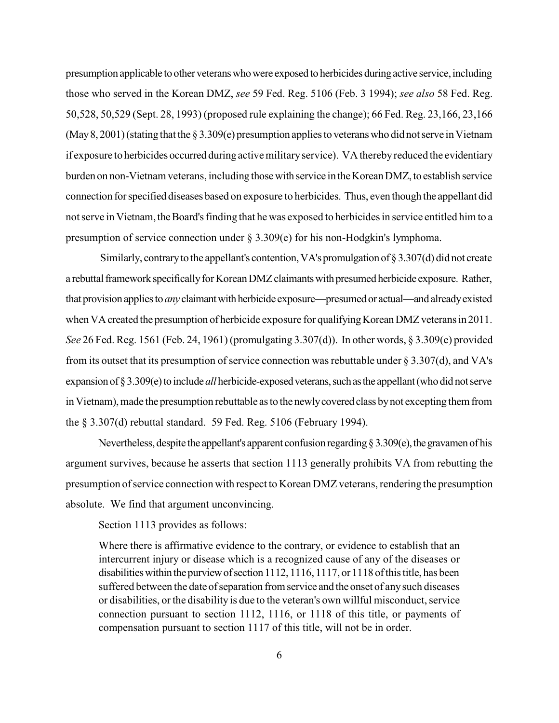presumption applicable to other veterans who were exposed to herbicides during active service, including those who served in the Korean DMZ, *see* 59 Fed. Reg. 5106 (Feb. 3 1994); *see also* 58 Fed. Reg. 50,528, 50,529 (Sept. 28, 1993) (proposed rule explaining the change); 66 Fed. Reg. 23,166, 23,166 (May 8, 2001) (stating that the  $\S 3.309(e)$  presumption applies to veterans who did not serve in Vietnam if exposure to herbicides occurred during active militaryservice). VA therebyreduced the evidentiary burden on non-Vietnam veterans, including those with service in the Korean DMZ, to establish service connection forspecified diseases based on exposure to herbicides. Thus, even though the appellant did not serve in Vietnam, the Board's finding that he was exposed to herbicides in service entitled him to a presumption of service connection under § 3.309(e) for his non-Hodgkin's lymphoma.

Similarly, contrary to the appellant's contention, VA's promulgation of  $\S 3.307(d)$  did not create a rebuttal framework specifically for Korean DMZ claimants with presumed herbicide exposure. Rather, that provision appliesto *any* claimantwithherbicide exposure—presumed or actual—and alreadyexisted when VA created the presumption of herbicide exposure for qualifying Korean DMZ veterans in 2011. *See* 26 Fed. Reg. 1561 (Feb. 24, 1961) (promulgating 3.307(d)). In other words, § 3.309(e) provided from its outset that its presumption of service connection was rebuttable under § 3.307(d), and VA's expansion of § 3.309(e) to include *all* herbicide-exposed veterans, such as the appellant (who did not serve in Vietnam), made the presumption rebuttable as to the newly covered class by not excepting them from the § 3.307(d) rebuttal standard. 59 Fed. Reg. 5106 (February 1994).

Nevertheless, despite the appellant's apparent confusion regarding  $\S 3.309(e)$ , the gravamen of his argument survives, because he asserts that section 1113 generally prohibits VA from rebutting the presumption of service connection with respect to Korean DMZ veterans, rendering the presumption absolute. We find that argument unconvincing.

Section 1113 provides as follows:

Where there is affirmative evidence to the contrary, or evidence to establish that an intercurrent injury or disease which is a recognized cause of any of the diseases or disabilities within the purview of section 1112, 1116, 1117, or 1118 of this title, has been suffered between the date of separation from service and the onset of any such diseases or disabilities, or the disability is due to the veteran's own willful misconduct, service connection pursuant to section 1112, 1116, or 1118 of this title, or payments of compensation pursuant to section 1117 of this title, will not be in order.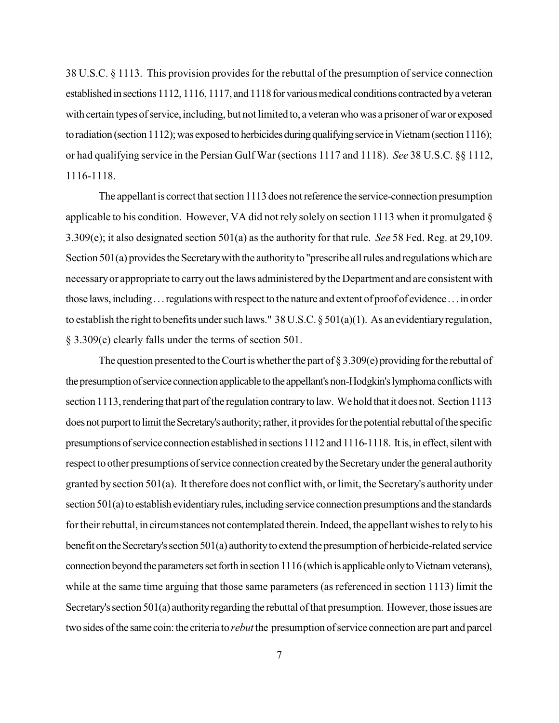38 U.S.C. § 1113. This provision provides for the rebuttal of the presumption of service connection established in sections 1112, 1116, 1117, and 1118 for various medical conditions contracted by a veteran with certain types of service, including, but not limited to, a veteran who was a prisoner of war or exposed to radiation (section 1112); was exposed to herbicides during qualifying service in Vietnam (section 1116); or had qualifying service in the Persian Gulf War (sections 1117 and 1118). *See* 38 U.S.C. §§ 1112, 1116-1118.

The appellant is correct that section 1113 does not reference the service-connection presumption applicable to his condition. However, VA did not rely solely on section 1113 when it promulgated § 3.309(e); it also designated section 501(a) as the authority for that rule. *See* 58 Fed. Reg. at 29,109. Section 501(a) provides the Secretary with the authority to "prescribe all rules and regulations which are necessaryor appropriate to carryout the laws administered bythe Department and are consistent with those laws, including... regulations with respect to the nature and extent of proof of evidence ... in order to establish the right to benefits under such laws." 38 U.S.C.  $\S 501(a)(1)$ . As an evidentiary regulation, § 3.309(e) clearly falls under the terms of section 501.

The question presented to the Court is whether the part of  $\S 3.309(e)$  providing for the rebuttal of the presumption of service connection applicable to the appellant's non-Hodgkin's lymphoma conflicts with section 1113, rendering that part of the regulation contrary to law. We hold that it does not. Section 1113 does not purport to limit the Secretary's authority; rather, it provides for the potential rebuttal of the specific presumptions of service connection established in sections 1112 and 1116-1118. It is, in effect, silent with respect to other presumptions of service connection created by the Secretary under the general authority granted by section 501(a). It therefore does not conflict with, or limit, the Secretary's authority under section 501(a) to establish evidentiary rules, including service connection presumptions and the standards for their rebuttal, in circumstances not contemplated therein. Indeed, the appellant wishes to rely to his benefit on the Secretary's section 501(a) authority to extend the presumption of herbicide-related service connection beyond the parameters set forth in section  $1116$  (which is applicable only to Vietnam veterans), while at the same time arguing that those same parameters (as referenced in section 1113) limit the Secretary's section 501(a) authority regarding the rebuttal of that presumption. However, those issues are two sides of the same coin: the criteria to *rebut* the presumption of service connection are part and parcel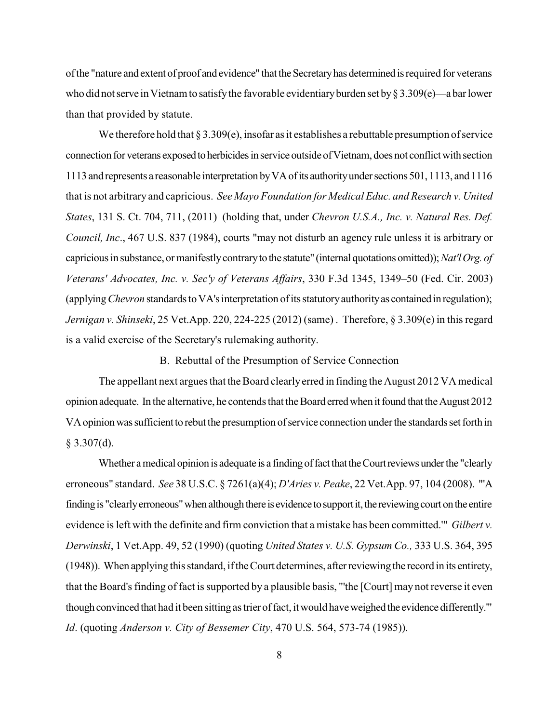of the "nature and extent of proof and evidence" that the Secretary has determined is required for veterans who did not serve in Vietnam to satisfy the favorable evidentiary burden set by  $\S 3.309(e)$ —a bar lower than that provided by statute.

We therefore hold that  $\S 3.309(e)$ , insofar as it establishes a rebuttable presumption of service connection for veterans exposed to herbicides in service outside of Vietnam, does not conflict with section 1113 and represents a reasonable interpretation by VA of its authority under sections 501, 1113, and 1116 that is not arbitrary and capricious. See Mayo Foundation for Medical Educ. and Research v. United States, 131 S. Ct. 704, 711, (2011) (holding that, under Chevron U.S.A., Inc. v. Natural Res. Def. Council, Inc., 467 U.S. 837 (1984), courts "may not disturb an agency rule unless it is arbitrary or capricious in substance, or manifestly contrary to the statute" (internal quotations omitted)); Nat'l Org. of Veterans' Advocates, Inc. v. Sec'y of Veterans Affairs, 330 F.3d 1345, 1349-50 (Fed. Cir. 2003) (applying *Chevron* standards to VA's interpretation of its statutory authority as contained in regulation); Jernigan v. Shinseki, 25 Vet.App. 220, 224-225 (2012) (same). Therefore,  $\S 3.309(e)$  in this regard is a valid exercise of the Secretary's rulemaking authority.

B. Rebuttal of the Presumption of Service Connection

The appellant next argues that the Board clearly erred in finding the August 2012 VA medical opinion adequate. In the alternative, he contends that the Board erred when it found that the August 2012 VA opinion was sufficient to rebut the presumption of service connection under the standards set forth in  $§$  3.307(d).

Whether a medical opinion is adequate is a finding of fact that the Court reviews under the "clearly erroneous" standard. See 38 U.S.C. § 7261(a)(4); D'Aries v. Peake, 22 Vet.App. 97, 104 (2008). "'A finding is "clearly erroneous" when although there is evidence to support it, the reviewing court on the entire evidence is left with the definite and firm conviction that a mistake has been committed." Gilbert v. Derwinski, 1 Vet.App. 49, 52 (1990) (quoting United States v. U.S. Gypsum Co., 333 U.S. 364, 395 (1948)). When applying this standard, if the Court determines, after reviewing the record in its entirety, that the Board's finding of fact is supported by a plausible basis, "the [Court] may not reverse it even though convinced that had it been sitting as trier of fact, it would have weighed the evidence differently." Id. (quoting Anderson v. City of Bessemer City, 470 U.S. 564, 573-74 (1985)).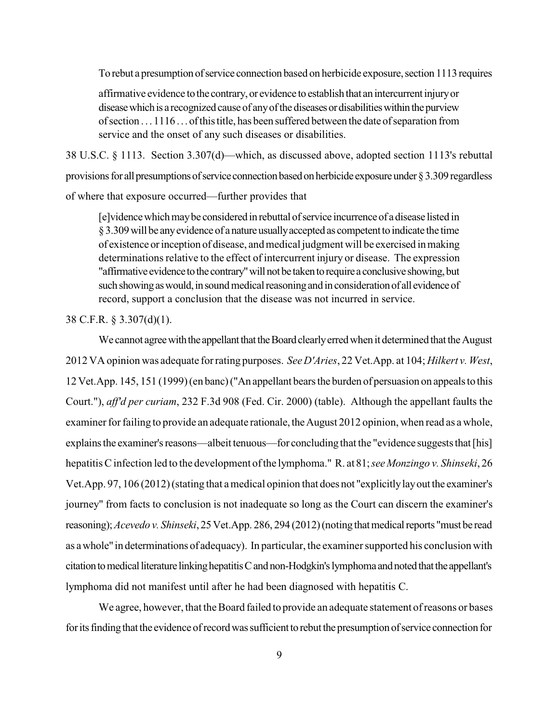To rebut a presumption of service connection based on herbicide exposure, section 1113 requires

affirmative evidence to the contrary, or evidence to establish that an intercurrent injury or disease which is a recognized cause of any of the diseases or disabilities within the purview of section . . . 1116 . . . of this title, has been suffered between the date of separation from service and the onset of any such diseases or disabilities.

38 U.S.C. § 1113. Section 3.307(d)—which, as discussed above, adopted section 1113's rebuttal provisions for all presumptions of service connection based on herbicide exposure under § 3.309 regardless of where that exposure occurred—further provides that

[e] vidence which may be considered in rebuttal of service incurrence of a disease listed in § 3.309 will be any evidence of a nature usually accepted as competent to indicate the time of existence or inception of disease, and medical judgment will be exercised in making determinations relative to the effect of intercurrent injury or disease. The expression "affirmative evidence to the contrary" will not be taken to require a conclusive showing, but such showing as would, in sound medical reasoning and in consideration of all evidence of record, support a conclusion that the disease was not incurred in service.

38 C.F.R.  $\S$  3.307(d)(1).

We cannot agree with the appellant that the Board clearly erred when it determined that the August 2012 VA opinion was adequate for rating purposes. See D'Aries, 22 Vet. App. at 104; Hilkert v. West, 12 Vet. App. 145, 151 (1999) (en banc) ("An appellant bears the burden of persuasion on appeals to this Court."), aff'd per curiam, 232 F.3d 908 (Fed. Cir. 2000) (table). Although the appellant faults the examiner for failing to provide an adequate rationale, the August 2012 opinion, when read as a whole, explains the examiner's reasons—albeit tenuous—for concluding that the "evidence suggests that [his] hepatitis C infection led to the development of the lymphoma." R. at 81; see Monzingo v. Shinseki, 26 Vet.App. 97, 106 (2012) (stating that a medical opinion that does not "explicitly lay out the examiner's journey" from facts to conclusion is not inadequate so long as the Court can discern the examiner's reasoning); Acevedo v. Shinseki, 25 Vet.App. 286, 294 (2012) (noting that medical reports "must be read as a whole" in determinations of adequacy). In particular, the examiner supported his conclusion with citation to medical literature linking hepatitis C and non-Hodgkin's lymphoma and noted that the appellant's lymphoma did not manifest until after he had been diagnosed with hepatitis C.

We agree, however, that the Board failed to provide an adequate statement of reasons or bases for its finding that the evidence of record was sufficient to rebut the presumption of service connection for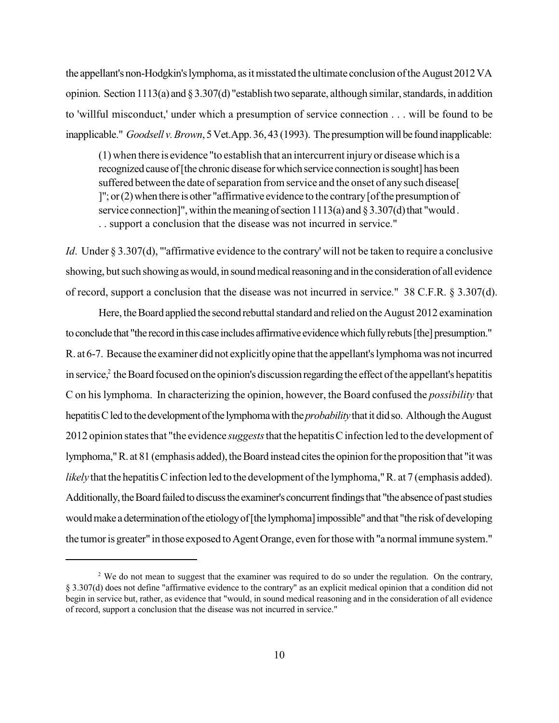the appellant's non-Hodgkin's lymphoma, as it misstated the ultimate conclusion of the August 2012 VA opinion. Section 1113(a) and § 3.307(d) "establish two separate, although similar, standards, in addition to 'willful misconduct,' under which a presumption of service connection . . . will be found to be inapplicable." *Goodsell v. Brown*, 5 Vet.App. 36, 43 (1993). The presumption will be found inapplicable:

(1) when there is evidence "to establish that an intercurrent injuryor disease which is a recognized cause of [the chronic disease for which service connection is sought] has been suffered between the date of separation from service and the onset of any such disease ]"; or  $(2)$  when there is other "affirmative evidence to the contrary [of the presumption of service connection]", within the meaning of section  $1113(a)$  and  $\S 3.307(d)$  that "would. . . support a conclusion that the disease was not incurred in service."

*Id*. Under § 3.307(d), "'affirmative evidence to the contrary' will not be taken to require a conclusive showing, but such showing as would, in sound medical reasoning and in the consideration of all evidence of record, support a conclusion that the disease was not incurred in service." 38 C.F.R. § 3.307(d).

Here, the Board applied the second rebuttal standard and relied on the August 2012 examination to conclude that "the record in this case includes affirmative evidence which fully rebuts [the] presumption." R. at 6-7. Because the examiner did not explicitlyopine that the appellant'slymphomawas not incurred in service, $\hat{z}$  the Board focused on the opinion's discussion regarding the effect of the appellant's hepatitis C on his lymphoma. In characterizing the opinion, however, the Board confused the *possibility* that hepatitis C led to the development of the lymphoma with the *probability* that it did so. Although the August 2012 opinion states that "the evidence *suggests*that the hepatitisC infection led to the development of lymphoma," R. at 81 (emphasis added), the Board instead cites the opinion for the proposition that "it was *likely* that the hepatitis C infection led to the development of the lymphoma," R. at 7 (emphasis added). Additionally, the Board failed to discuss the examiner's concurrent findings that "the absence of past studies" would make a determination of the etiology of [the lymphoma] impossible" and that "the risk of developing the tumor is greater" in those exposed to Agent Orange, even for those with "a normal immune system."

 $2$  We do not mean to suggest that the examiner was required to do so under the regulation. On the contrary, § 3.307(d) does not define "affirmative evidence to the contrary" as an explicit medical opinion that a condition did not begin in service but, rather, as evidence that "would, in sound medical reasoning and in the consideration of all evidence of record, support a conclusion that the disease was not incurred in service."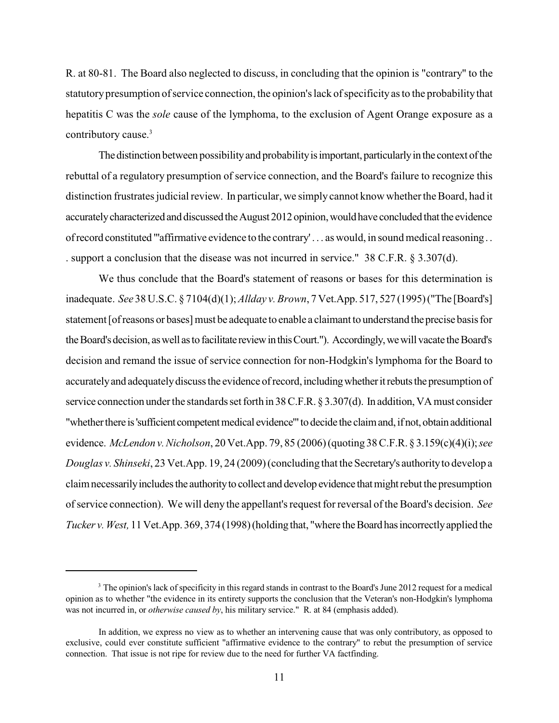R. at 80-81. The Board also neglected to discuss, in concluding that the opinion is "contrary" to the statutorypresumption of service connection, the opinion's lack of specificityas to the probabilitythat hepatitis C was the *sole* cause of the lymphoma, to the exclusion of Agent Orange exposure as a contributory cause. 3

The distinction between possibility and probability is important, particularly in the context of the rebuttal of a regulatory presumption of service connection, and the Board's failure to recognize this distinction frustrates judicial review. In particular, we simply cannot know whether the Board, had it accurately characterized and discussed the August 2012 opinion, would have concluded that the evidence ofrecord constituted "'affirmative evidence to the contrary' . . . as would, in sound medical reasoning . . . support a conclusion that the disease was not incurred in service." 38 C.F.R. § 3.307(d).

We thus conclude that the Board's statement of reasons or bases for this determination is inadequate. *See* 38 U.S.C. § 7104(d)(1); *Allday v. Brown*, 7 Vet.App. 517, 527 (1995)("The [Board's] statement [ofreasons or bases] must be adequate to enable a claimant to understand the precise basisfor the Board's decision, as well as to facilitate review in this Court."). Accordingly, we will vacate the Board's decision and remand the issue of service connection for non-Hodgkin's lymphoma for the Board to accurately and adequately discuss the evidence of record, including whether it rebuts the presumption of service connection under the standards set forth in 38 C.F.R. § 3.307(d). In addition, VA must consider "whether there is 'sufficient competent medical evidence'" to decide the claim and, if not, obtain additional evidence. *McLendon v.Nicholson*, 20 Vet.App. 79, 85 (2006) (quoting 38 C.F.R. § 3.159(c)(4)(i); *see Douglas v. Shinseki*, 23 Vet.App. 19, 24 (2009) (concluding that the Secretary's authorityto develop a claimnecessarilyincludesthe authorityto collect and develop evidence thatmightrebut the presumption of service connection). We will deny the appellant's request for reversal of the Board's decision. *See Tucker v. West,* 11 Vet.App. 369, 374 (1998) (holding that, "where the Board has incorrectly applied the

 $3$  The opinion's lack of specificity in this regard stands in contrast to the Board's June 2012 request for a medical opinion as to whether "the evidence in its entirety supports the conclusion that the Veteran's non-Hodgkin's lymphoma was not incurred in, or *otherwise caused by*, his military service." R. at 84 (emphasis added).

In addition, we express no view as to whether an intervening cause that was only contributory, as opposed to exclusive, could ever constitute sufficient "affirmative evidence to the contrary" to rebut the presumption of service connection. That issue is not ripe for review due to the need for further VA factfinding.